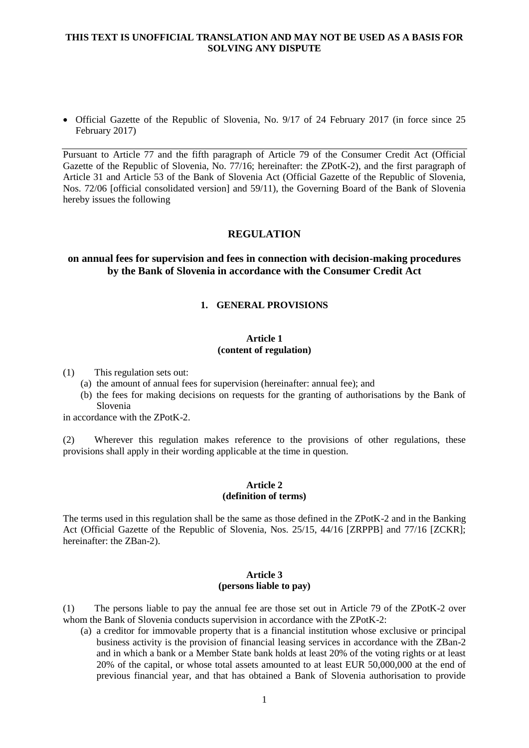• Official Gazette of the Republic of Slovenia, No. 9/17 of 24 February 2017 (in force since 25 February 2017)

Pursuant to Article 77 and the fifth paragraph of Article 79 of the Consumer Credit Act (Official Gazette of the Republic of Slovenia, No. 77/16; hereinafter: the ZPotK-2), and the first paragraph of Article 31 and Article 53 of the Bank of Slovenia Act (Official Gazette of the Republic of Slovenia, Nos. 72/06 [official consolidated version] and 59/11), the Governing Board of the Bank of Slovenia hereby issues the following

## **REGULATION**

# **on annual fees for supervision and fees in connection with decision-making procedures by the Bank of Slovenia in accordance with the Consumer Credit Act**

#### **1. GENERAL PROVISIONS**

#### **Article 1 (content of regulation)**

(1) This regulation sets out:

- (a) the amount of annual fees for supervision (hereinafter: annual fee); and
- (b) the fees for making decisions on requests for the granting of authorisations by the Bank of Slovenia

in accordance with the ZPotK-2.

(2) Wherever this regulation makes reference to the provisions of other regulations, these provisions shall apply in their wording applicable at the time in question.

## **Article 2 (definition of terms)**

The terms used in this regulation shall be the same as those defined in the ZPotK-2 and in the Banking Act (Official Gazette of the Republic of Slovenia, Nos. 25/15, 44/16 [ZRPPB] and 77/16 [ZCKR]; hereinafter: the ZBan-2).

#### **Article 3 (persons liable to pay)**

(1) The persons liable to pay the annual fee are those set out in Article 79 of the ZPotK-2 over whom the Bank of Slovenia conducts supervision in accordance with the ZPotK-2:

(a) a creditor for immovable property that is a financial institution whose exclusive or principal business activity is the provision of financial leasing services in accordance with the ZBan-2 and in which a bank or a Member State bank holds at least 20% of the voting rights or at least 20% of the capital, or whose total assets amounted to at least EUR 50,000,000 at the end of previous financial year, and that has obtained a Bank of Slovenia authorisation to provide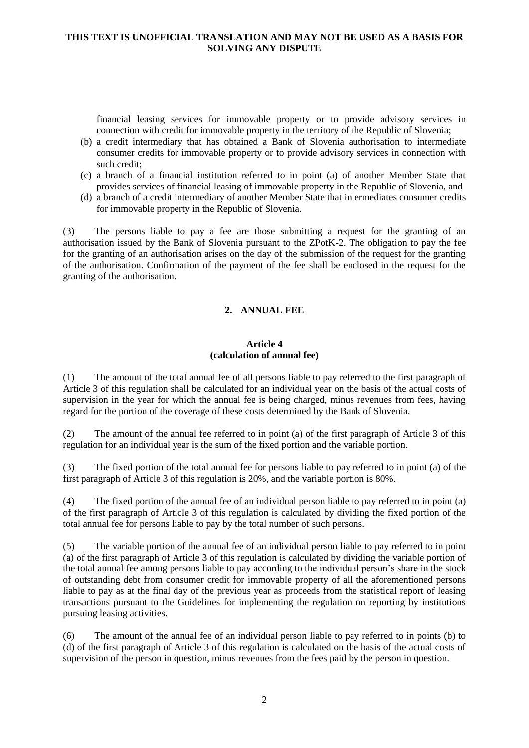financial leasing services for immovable property or to provide advisory services in connection with credit for immovable property in the territory of the Republic of Slovenia;

- (b) a credit intermediary that has obtained a Bank of Slovenia authorisation to intermediate consumer credits for immovable property or to provide advisory services in connection with such credit;
- (c) a branch of a financial institution referred to in point (a) of another Member State that provides services of financial leasing of immovable property in the Republic of Slovenia, and
- (d) a branch of a credit intermediary of another Member State that intermediates consumer credits for immovable property in the Republic of Slovenia.

(3) The persons liable to pay a fee are those submitting a request for the granting of an authorisation issued by the Bank of Slovenia pursuant to the ZPotK-2. The obligation to pay the fee for the granting of an authorisation arises on the day of the submission of the request for the granting of the authorisation. Confirmation of the payment of the fee shall be enclosed in the request for the granting of the authorisation.

# **2. ANNUAL FEE**

#### **Article 4 (calculation of annual fee)**

(1) The amount of the total annual fee of all persons liable to pay referred to the first paragraph of Article 3 of this regulation shall be calculated for an individual year on the basis of the actual costs of supervision in the year for which the annual fee is being charged, minus revenues from fees, having regard for the portion of the coverage of these costs determined by the Bank of Slovenia.

(2) The amount of the annual fee referred to in point (a) of the first paragraph of Article 3 of this regulation for an individual year is the sum of the fixed portion and the variable portion.

(3) The fixed portion of the total annual fee for persons liable to pay referred to in point (a) of the first paragraph of Article 3 of this regulation is 20%, and the variable portion is 80%.

(4) The fixed portion of the annual fee of an individual person liable to pay referred to in point (a) of the first paragraph of Article 3 of this regulation is calculated by dividing the fixed portion of the total annual fee for persons liable to pay by the total number of such persons.

(5) The variable portion of the annual fee of an individual person liable to pay referred to in point (a) of the first paragraph of Article 3 of this regulation is calculated by dividing the variable portion of the total annual fee among persons liable to pay according to the individual person's share in the stock of outstanding debt from consumer credit for immovable property of all the aforementioned persons liable to pay as at the final day of the previous year as proceeds from the statistical report of leasing transactions pursuant to the Guidelines for implementing the regulation on reporting by institutions pursuing leasing activities.

(6) The amount of the annual fee of an individual person liable to pay referred to in points (b) to (d) of the first paragraph of Article 3 of this regulation is calculated on the basis of the actual costs of supervision of the person in question, minus revenues from the fees paid by the person in question.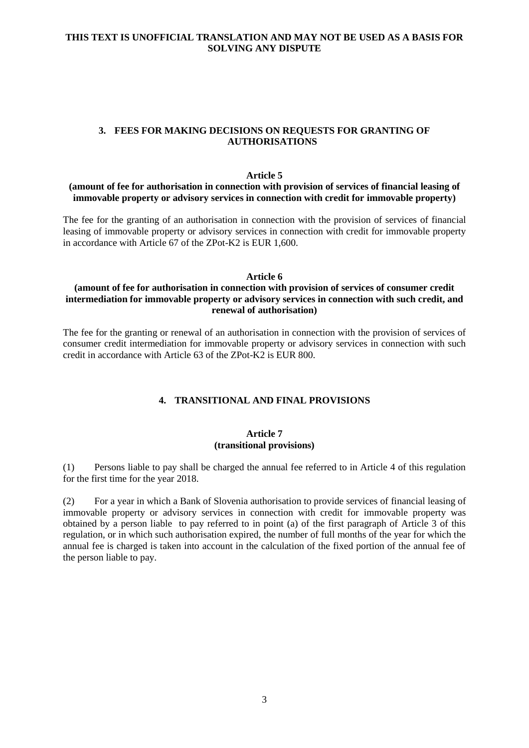## **3. FEES FOR MAKING DECISIONS ON REQUESTS FOR GRANTING OF AUTHORISATIONS**

#### **Article 5**

#### **(amount of fee for authorisation in connection with provision of services of financial leasing of immovable property or advisory services in connection with credit for immovable property)**

The fee for the granting of an authorisation in connection with the provision of services of financial leasing of immovable property or advisory services in connection with credit for immovable property in accordance with Article 67 of the ZPot-K2 is EUR 1,600.

#### **Article 6**

## **(amount of fee for authorisation in connection with provision of services of consumer credit intermediation for immovable property or advisory services in connection with such credit, and renewal of authorisation)**

The fee for the granting or renewal of an authorisation in connection with the provision of services of consumer credit intermediation for immovable property or advisory services in connection with such credit in accordance with Article 63 of the ZPot-K2 is EUR 800.

## **4. TRANSITIONAL AND FINAL PROVISIONS**

#### **Article 7 (transitional provisions)**

(1) Persons liable to pay shall be charged the annual fee referred to in Article 4 of this regulation for the first time for the year 2018.

(2) For a year in which a Bank of Slovenia authorisation to provide services of financial leasing of immovable property or advisory services in connection with credit for immovable property was obtained by a person liable to pay referred to in point (a) of the first paragraph of Article 3 of this regulation, or in which such authorisation expired, the number of full months of the year for which the annual fee is charged is taken into account in the calculation of the fixed portion of the annual fee of the person liable to pay.